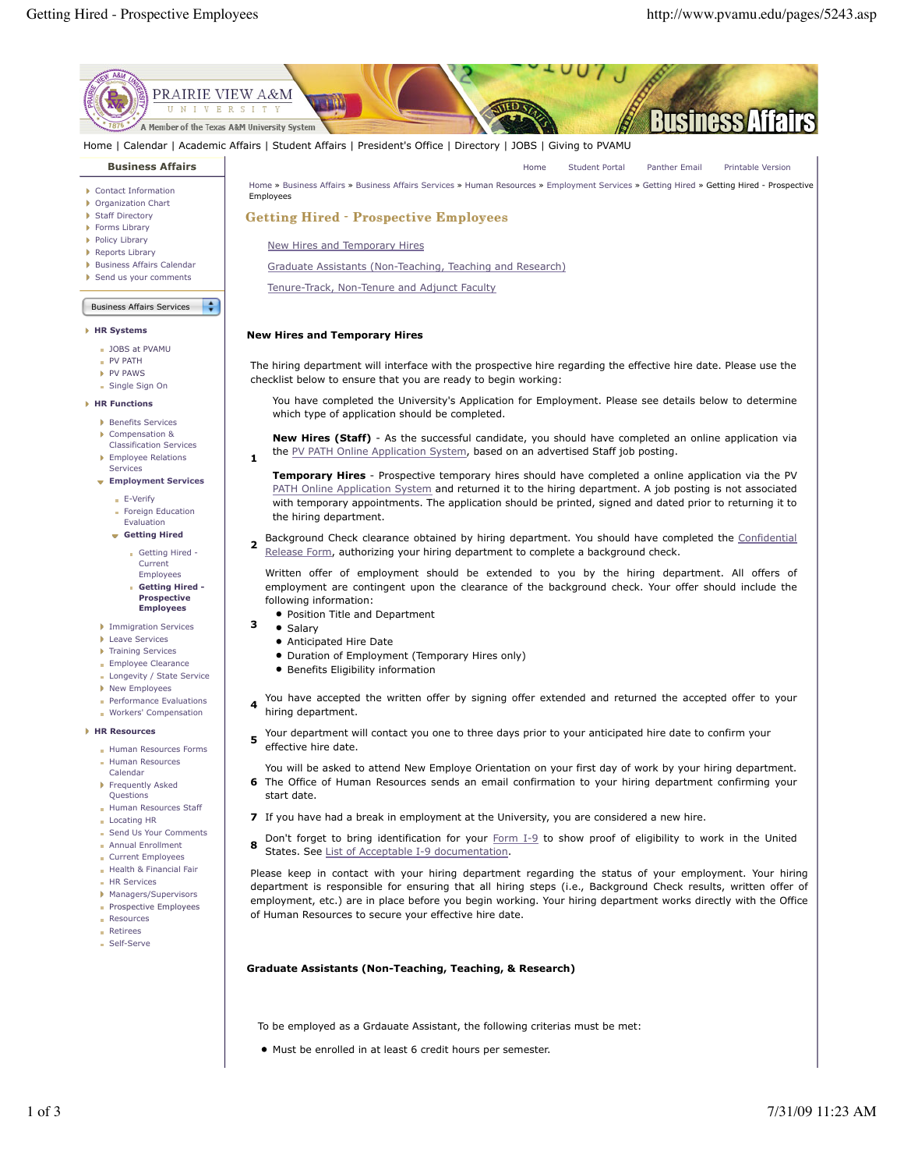

Home | Calendar | Academic Affairs | Student Affairs | President's Office | Directory | JOBS | Giving to PVAMU

# **Business Affairs**

- Contact Information
- **D** Organization Chart
- Staff Directory
- **Forms Library**
- **Policy Library**
- Reports Library Business Affairs Calendar
- Send us your comments
- 

#### $\ddot{\phantom{1}}$ Business Affairs Services

## **HR Systems**

- **JOBS at PVAMU**
- PV PATH
- PV PAWS Single Sign On

#### **HR Functions**

- Benefits Services
- Compensation &
- Classification Services **Employee Relations**
- **Services Employment Services**
	- **E-Verify**
	- **Foreign Education** Evaluation
	- **Getting Hired**
		- Getting Hired Current
	- Employees **Getting Hired -**
		- **Prospective Employees**
- **Immigration Services**
- **Leave Services**
- **Training Services**
- **Employee Clearance**
- **Longevity / State Service**
- New Employees
- **Performance Evaluations** Workers' Compensation

#### **HR Resources**

- **Human Resources Forms Human Resources**
- Calendar **Frequently Asked Ouestions**
- **Human Resources Staff**
- Locating HR
- Send Us Your Comments
- Annual Enrollment
- Current Employees
- Health & Financial Fair
- **HR Services**
- Managers/Supervisors
- **Prospective Employees** Resources
- Retirees
- Self-Serve

Home Student Portal Panther Email Printable Version Home » Business Affairs » Business Affairs Services » Human Resources » Employment Services » Getting Hired » Getting Hired - Prospective Employees

## Getting Hired - Prospective Employees

New Hires and Temporary Hires

Graduate Assistants (Non-Teaching, Teaching and Research)

Tenure-Track, Non-Tenure and Adjunct Faculty

# **New Hires and Temporary Hires**

The hiring department will interface with the prospective hire regarding the effective hire date. Please use the checklist below to ensure that you are ready to begin working:

You have completed the University's Application for Employment. Please see details below to determine which type of application should be completed.

- **1 New Hires (Staff)** - As the successful candidate, you should have completed an online application via the PV PATH Online Application System, based on an advertised Staff job posting.
	- **Temporary Hires** Prospective temporary hires should have completed a online application via the PV PATH Online Application System and returned it to the hiring department. A job posting is not associated with temporary appointments. The application should be printed, signed and dated prior to returning it to the hiring department.
- 2 Background Check clearance obtained by hiring department. You should have completed the Confidential Release Form, authorizing your hiring department to complete a background check.

Written offer of employment should be extended to you by the hiring department. All offers of employment are contingent upon the clearance of the background check. Your offer should include the following information:

- Position Title and Department
- $\bullet$  Salary

**3**

- Anticipated Hire Date
- Duration of Employment (Temporary Hires only)
- Benefits Eligibility information

**<sup>4</sup>** You have accepted the written offer by signing offer extended and returned the accepted offer to your hiring department.

**5** Your department will contact you one to three days prior to your anticipated hire date to confirm your effective hire date.

You will be asked to attend New Employe Orientation on your first day of work by your hiring department.

- **6** The Office of Human Resources sends an email confirmation to your hiring department confirming your start date.
- **7** If you have had a break in employment at the University, you are considered a new hire.
- **8** Don't forget to bring identification for your Form I-9 to show proof of eligibility to work in the United States. See List of Acceptable I-9 documentation.

Please keep in contact with your hiring department regarding the status of your employment. Your hiring department is responsible for ensuring that all hiring steps (i.e., Background Check results, written offer of employment, etc.) are in place before you begin working. Your hiring department works directly with the Office of Human Resources to secure your effective hire date.

# **Graduate Assistants (Non-Teaching, Teaching, & Research)**

To be employed as a Grdauate Assistant, the following criterias must be met:

Must be enrolled in at least 6 credit hours per semester.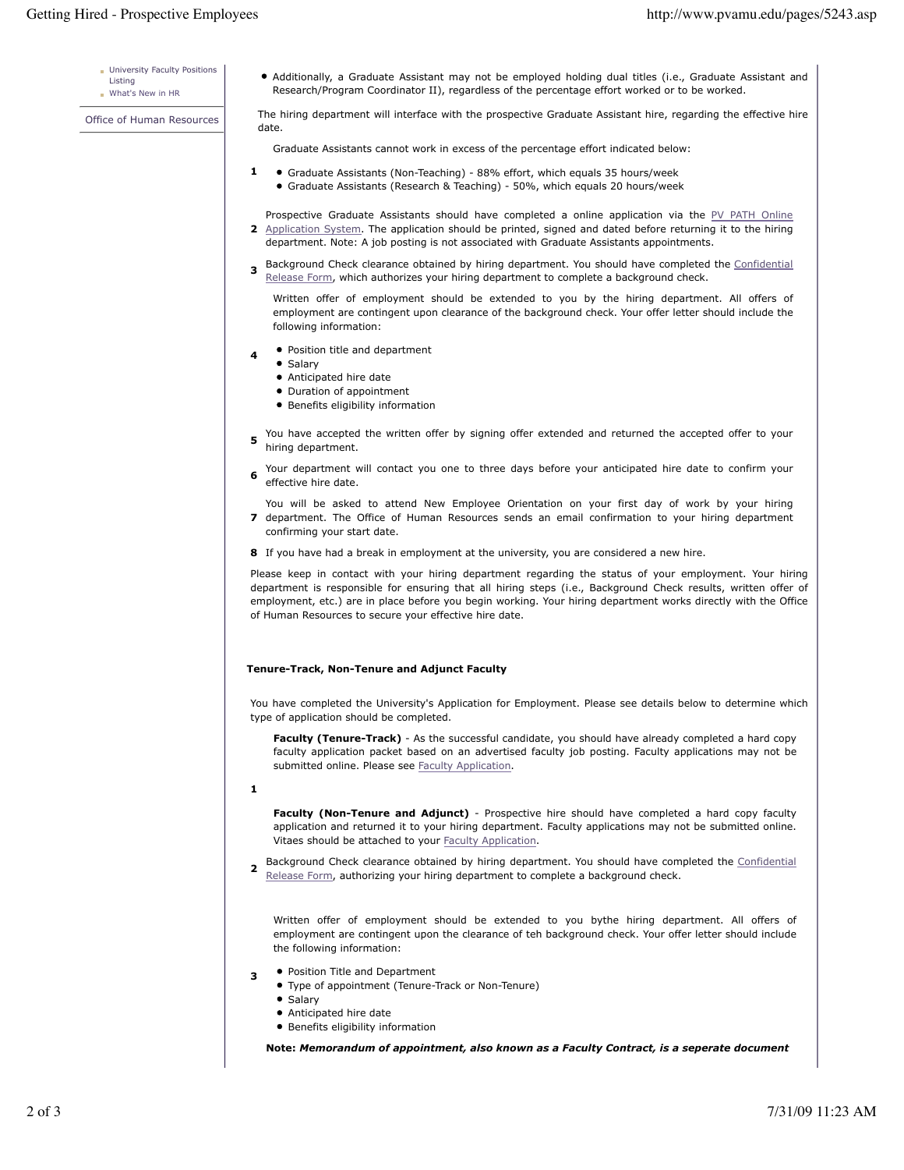**University Faculty Positions** Listing What's New in HR

Office of Human Resources

Additionally, a Graduate Assistant may not be employed holding dual titles (i.e., Graduate Assistant and Research/Program Coordinator II), regardless of the percentage effort worked or to be worked.

The hiring department will interface with the prospective Graduate Assistant hire, regarding the effective hire date.

Graduate Assistants cannot work in excess of the percentage effort indicated below:

**1** Graduate Assistants (Non-Teaching) - 88% effort, which equals 35 hours/week Graduate Assistants (Research & Teaching) - 50%, which equals 20 hours/week

**2** Application System. The application should be printed, signed and dated before returning it to the hiring Prospective Graduate Assistants should have completed a online application via the PV PATH Online department. Note: A job posting is not associated with Graduate Assistants appointments.

**<sup>3</sup>** Background Check clearance obtained by hiring department. You should have completed the Confidential Release Form, which authorizes your hiring department to complete a background check.

Written offer of employment should be extended to you by the hiring department. All offers of employment are contingent upon clearance of the background check. Your offer letter should include the following information:

- **4** Position title and department
	- **•** Salary
	- Anticipated hire date
	- Duration of appointment
	- Benefits eligibility information
- **5** You have accepted the written offer by signing offer extended and returned the accepted offer to your hiring department.
- **<sup>6</sup>** Your department will contact you one to three days before your anticipated hire date to confirm your effective hire date.
- **7** department. The Office of Human Resources sends an email confirmation to your hiring department You will be asked to attend New Employee Orientation on your first day of work by your hiring confirming your start date.
- **8** If you have had a break in employment at the university, you are considered a new hire.

Please keep in contact with your hiring department regarding the status of your employment. Your hiring department is responsible for ensuring that all hiring steps (i.e., Background Check results, written offer of employment, etc.) are in place before you begin working. Your hiring department works directly with the Office of Human Resources to secure your effective hire date.

#### **Tenure-Track, Non-Tenure and Adjunct Faculty**

You have completed the University's Application for Employment. Please see details below to determine which type of application should be completed.

**Faculty (Tenure-Track)** - As the successful candidate, you should have already completed a hard copy faculty application packet based on an advertised faculty job posting. Faculty applications may not be submitted online. Please see **Faculty Application**.

**1**

**Faculty (Non-Tenure and Adjunct)** - Prospective hire should have completed a hard copy faculty application and returned it to your hiring department. Faculty applications may not be submitted online. Vitaes should be attached to your Faculty Application.

**2** Background Check clearance obtained by hiring department. You should have completed the Confidential Release Form, authorizing your hiring department to complete a background check.

Written offer of employment should be extended to you bythe hiring department. All offers of employment are contingent upon the clearance of teh background check. Your offer letter should include the following information:

- **3** Position Title and Department
	- Type of appointment (Tenure-Track or Non-Tenure)
	- Salary
	- Anticipated hire date
	- **•** Benefits eligibility information

**Note:** *Memorandum of appointment, also known as a Faculty Contract, is a seperate document*